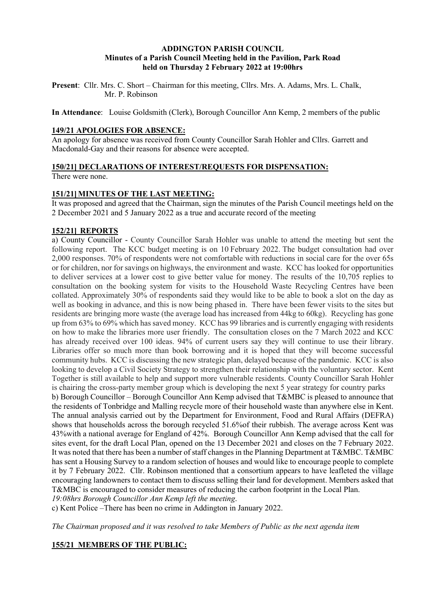### **ADDINGTON PARISH COUNCIL Minutes of a Parish Council Meeting held in the Pavilion, Park Road held on Thursday 2 February 2022 at 19:00hrs**

**Present**: Cllr. Mrs. C. Short – Chairman for this meeting, Cllrs. Mrs. A. Adams, Mrs. L. Chalk, Mr. P. Robinson

**In Attendance**: Louise Goldsmith (Clerk), Borough Councillor Ann Kemp, 2 members of the public

### **149/21 APOLOGIES FOR ABSENCE:**

An apology for absence was received from County Councillor Sarah Hohler and Cllrs. Garrett and Macdonald-Gay and their reasons for absence were accepted.

### **150/21] DECLARATIONS OF INTEREST/REQUESTS FOR DISPENSATION:**

There were none.

#### **151/21] MINUTES OF THE LAST MEETING:**

It was proposed and agreed that the Chairman, sign the minutes of the Parish Council meetings held on the 2 December 2021 and 5 January 2022 as a true and accurate record of the meeting

#### **152/21] REPORTS**

a) County Councillor - County Councillor Sarah Hohler was unable to attend the meeting but sent the following report. The KCC budget meeting is on 10 February 2022. The budget consultation had over 2,000 responses. 70% of respondents were not comfortable with reductions in social care for the over 65s or for children, nor for savings on highways, the environment and waste. KCC has looked for opportunities to deliver services at a lower cost to give better value for money. The results of the 10,705 replies to consultation on the booking system for visits to the Household Waste Recycling Centres have been collated. Approximately 30% of respondents said they would like to be able to book a slot on the day as well as booking in advance, and this is now being phased in. There have been fewer visits to the sites but residents are bringing more waste (the average load has increased from 44kg to 60kg). Recycling has gone up from 63% to 69% which has saved money. KCC has 99 libraries and is currently engaging with residents on how to make the libraries more user friendly. The consultation closes on the 7 March 2022 and KCC has already received over 100 ideas. 94% of current users say they will continue to use their library. Libraries offer so much more than book borrowing and it is hoped that they will become successful community hubs. KCC is discussing the new strategic plan, delayed because of the pandemic. KCC is also looking to develop a Civil Society Strategy to strengthen their relationship with the voluntary sector. Kent Together is still available to help and support more vulnerable residents. County Councillor Sarah Hohler is chairing the cross-party member group which is developing the next 5 year strategy for country parks b) Borough Councillor – Borough Councillor Ann Kemp advised that T&MBC is pleased to announce that the residents of Tonbridge and Malling recycle more of their household waste than anywhere else in Kent. The annual analysis carried out by the Department for Environment, Food and Rural Affairs (DEFRA) shows that households across the borough recycled 51.6%of their rubbish. The average across Kent was 43%with a national average for England of 42%. Borough Councillor Ann Kemp advised that the call for sites event, for the draft Local Plan, opened on the 13 December 2021 and closes on the 7 February 2022. It was noted that there has been a number of staff changes in the Planning Department at T&MBC. T&MBC has sent a Housing Survey to a random selection of houses and would like to encourage people to complete it by 7 February 2022. Cllr. Robinson mentioned that a consortium appears to have leafleted the village encouraging landowners to contact them to discuss selling their land for development. Members asked that T&MBC is encouraged to consider measures of reducing the carbon footprint in the Local Plan. *19:08hrs Borough Councillor Ann Kemp left the meeting*.

c) Kent Police –There has been no crime in Addington in January 2022.

*The Chairman proposed and it was resolved to take Members of Public as the next agenda item* 

### **155/21 MEMBERS OF THE PUBLIC:**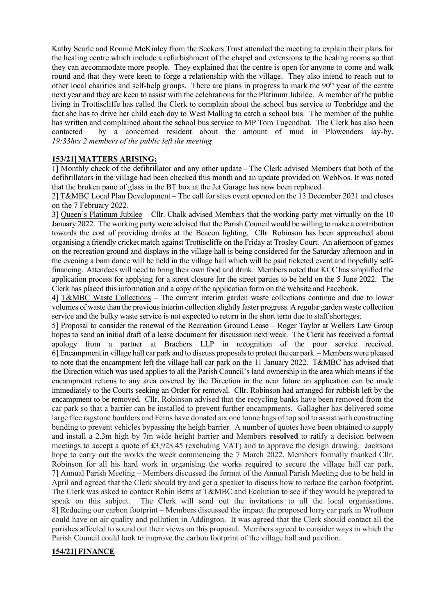Kathy Searle and Ronnie McKinley from the Seekers Trust attended the meeting to explain their plans for the healing centre which include a refurbishment of the chapel and extensions to the healing rooms so that they can accommodate more people. They explained that the centre is open for anyone to come and walk round and that they were keen to forge a relationship with the village. They also intend to reach out to other local charities and self-help groups. There are plans in progress to mark the  $90<sup>th</sup>$  year of the centre next year and they are keen to assist with the celebrations for the Platinum Jubilee. A member of the public living in Trottiscliffe has called the Clerk to complain about the school bus service to Tonbridge and the fact she has to drive her child each day to West Malling to catch a school bus. The member of the public has written and complained about the school bus service to MP Tom Tugendhat. The Clerk has also been contacted by a concerned resident about the amount of mud in Plowenders lay-by. *19:33hrs 2 members of the public left the meeting*

# **153/21] MATTERS ARISING:**

1] Monthly check of the defibrillator and any other update - The Clerk advised Members that both of the defibrillators in the village had been checked this month and an update provided on WebNos. It was noted that the broken pane of glass in the BT box at the Jet Garage has now been replaced.

2] T&MBC Local Plan Development – The call for sites event opened on the 13 December 2021 and closes on the 7 February 2022.

3] Queen's Platinum Jubilee – Cllr. Chalk advised Members that the working party met virtually on the 10 January 2022. The working party were advised that the Parish Council would be willing to make a contribution towards the cost of providing drinks at the Beacon lighting. Cllr. Robinson has been approached about organising a friendly cricket match against Trottiscliffe on the Friday at Trosley Court. An afternoon of games on the recreation ground and displays in the village hall is being considered for the Saturday afternoon and in the evening a barn dance will be held in the village hall which will be paid ticketed event and hopefully selffinancing. Attendees will need to bring their own food and drink. Members noted that KCC has simplified the application process for applying for a street closure for the street parties to be held on the 5 June 2022. The Clerk has placed this information and a copy of the application form on the website and Facebook.

4] T&MBC Waste Collections – The current interim garden waste collections continue and due to lower volumes of waste than the previous interim collection slightly faster progress. A regular garden waste collection service and the bulky waste service is not expected to return in the short term due to staff shortages.

5] Proposal to consider the renewal of the Recreation Ground Lease – Roger Taylor at Wellers Law Group hopes to send an initial draft of a lease document for discussion next week. The Clerk has received a formal apology from a partner at Brachers LLP in recognition of the poor service received. 6] Encampment in village hall car park and to discuss proposals to protect the car park – Members were pleased to note that the encampment left the village hall car park on the 11 January 2022. T&MBC has advised that the Direction which was used applies to all the Parish Council's land ownership in the area which means if the encampment returns to any area covered by the Direction in the near future an application can be made immediately to the Courts seeking an Order for removal. Cllr. Robinson had arranged for rubbish left by the encampment to be removed. Cllr. Robinson advised that the recycling banks have been removed from the car park so that a barrier can be installed to prevent further encampments. Gallagher has delivered some large free ragstone boulders and Ferns have donated six one tonne bags of top soil to assist with constructing bunding to prevent vehicles bypassing the heigh barrier. A number of quotes have been obtained to supply and install a 2.3m high by 7m wide height barrier and Members **resolved** to ratify a decision between meetings to accept a quote of £3,928.45 (excluding VAT) and to approve the design drawing. Jacksons hope to carry out the works the week commencing the 7 March 2022. Members formally thanked Cllr. Robinson for all his hard work in organising the works required to secure the village hall car park. 7] Annual Parish Meeting – Members discussed the format of the Annual Parish Meeting due to be held in April and agreed that the Clerk should try and get a speaker to discuss how to reduce the carbon footprint. The Clerk was asked to contact Robin Betts at T&MBC and Ecolution to see if they would be prepared to speak on this subject. The Clerk will send out the invitations to all the local organisations. 8] Reducing our carbon footprint – Members discussed the impact the proposed lorry car park in Wrotham could have on air quality and pollution in Addington. It was agreed that the Clerk should contact all the parishes affected to sound out their views on this proposal. Members agreed to consider ways in which the Parish Council could look to improve the carbon footprint of the village hall and pavilion.

### **154/21] FINANCE**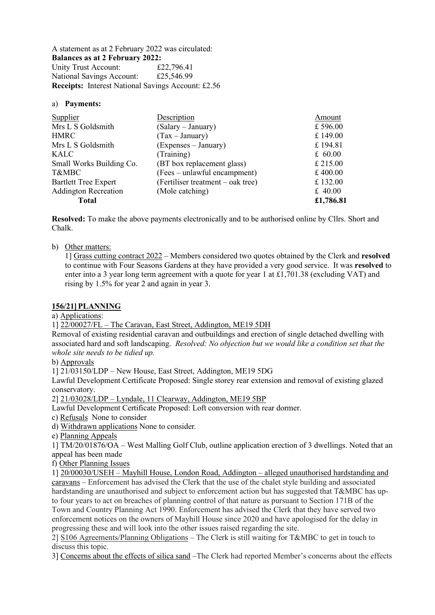A statement as at 2 February 2022 was circulated: **Balances as at 2 February 2022:**  Unity Trust Account: £22,796.41<br>National Savings Account: £25,546.99 National Savings Account: **Receipts:** Interest National Savings Account: £2.56

### a) **Payments:**

| <b>Supplier</b>             | Description                       | Amount    |
|-----------------------------|-----------------------------------|-----------|
| Mrs L S Goldsmith           | (Salary – January)                | £596.00   |
| <b>HMRC</b>                 | $(Tax - January)$                 | £149.00   |
| Mrs L S Goldsmith           | (Expenses – January)              | £194.81   |
| KALC                        | (Training)                        | £ $60.00$ |
| Small Works Building Co.    | (BT box replacement glass)        | £ 215.00  |
| T&MBC                       | (Fees – unlawful encampment)      | £400.00   |
| <b>Bartlett Tree Expert</b> | (Fertiliser treatment – oak tree) | £132.00   |
| <b>Addington Recreation</b> | (Mole catching)                   | £ $40.00$ |
| <b>Total</b>                |                                   | £1,786.81 |

**Resolved:** To make the above payments electronically and to be authorised online by Cllrs. Short and Chalk.

# b) Other matters:

1] Grass cutting contract 2022 – Members considered two quotes obtained by the Clerk and **resolved**  to continue with Four Seasons Gardens at they have provided a very good service. It was **resolved** to enter into a 3 year long term agreement with a quote for year 1 at £1,701.38 (excluding VAT) and rising by 1.5% for year 2 and again in year 3.

### **156/21] PLANNING**

a) Applications:

1] 22/00027/FL – The Caravan, East Street, Addington, ME19 5DH

Removal of existing residential caravan and outbuildings and erection of single detached dwelling with associated hard and soft landscaping. *Resolved: No objection but we would like a condition set that the whole site needs to be tidied up.*

b) Approvals

1] 21/03150/LDP – New House, East Street, Addington, ME19 5DG

Lawful Development Certificate Proposed: Single storey rear extension and removal of existing glazed conservatory.

2] 21/03028/LDP – Lyndale, 11 Clearway, Addington, ME19 5BP

Lawful Development Certificate Proposed: Loft conversion with rear dormer.

c) RefusalsNone to consider

d) Withdrawn applications None to consider*.* 

e) Planning Appeals

1] TM/20/01876/OA – West Malling Golf Club, outline application erection of 3 dwellings. Noted that an appeal has been made

f) Other Planning Issues

1] 20/00030/USEH – Mayhill House, London Road, Addington – alleged unauthorised hardstanding and caravans – Enforcement has advised the Clerk that the use of the chalet style building and associated hardstanding are unauthorised and subject to enforcement action but has suggested that T&MBC has upto four years to act on breaches of planning control of that nature as pursuant to Section 171B of the Town and Country Planning Act 1990. Enforcement has advised the Clerk that they have served two enforcement notices on the owners of Mayhill House since 2020 and have apologised for the delay in progressing these and will look into the other issues raised regarding the site.

2] S106 Agreements/Planning Obligations – The Clerk is still waiting for T&MBC to get in touch to discuss this topic.

3] Concerns about the effects of silica sand –The Clerk had reported Member's concerns about the effects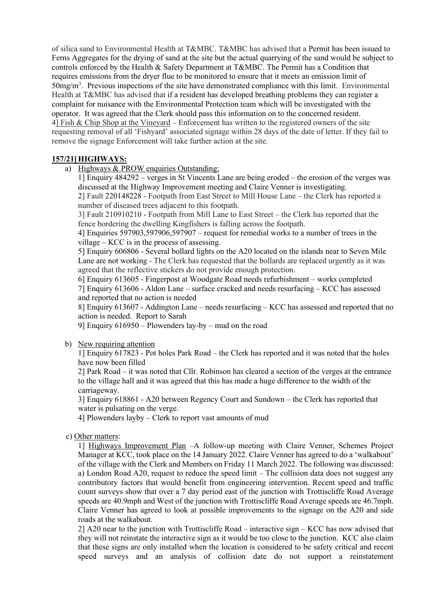of silica sand to Environmental Health at T&MBC. T&MBC has advised that a Permit has been issued to Ferns Aggregates for the drying of sand at the site but the actual quarrying of the sand would be subject to controls enforced by the Health & Safety Department at T&MBC. The Permit has a Condition that requires emissions from the dryer flue to be monitored to ensure that it meets an emission limit of 50mg/m3 . Previous inspections of the site have demonstrated compliance with this limit.Environmental Health at T&MBC has advised that if a resident has developed breathing problems they can register a complaint for nuisance with the Environmental Protection team which will be investigated with the operator. It was agreed that the Clerk should pass this information on to the concerned resident. 4] Fish & Chip Shop at the Vineyard – Enforcement has written to the registered owners of the site requesting removal of all 'Fishyard' associated signage within 28 days of the date of letter. If they fail to remove the signage Enforcement will take further action at the site.

# **157/21] HIGHWAYS:**

a) Highways & PROW enquiries Outstanding:

1] Enquiry 484292 – verges in St Vincents Lane are being eroded – the erosion of the verges was discussed at the Highway Improvement meeting and Claire Venner is investigating.

2] Fault 220148228 - Footpath from East Street to Mill House Lane – the Clerk has reported a number of diseased trees adjacent to this footpath.

3] Fault 210910210 - Footpath from Mill Lane to East Street – the Clerk has reported that the fence bordering the dwelling Kingfishers is falling across the footpath.

4] Enquiries 597903,597906,597907 – request for remedial works to a number of trees in the village – KCC is in the process of assessing.

5] Enquiry 606806 - Several bollard lights on the A20 located on the islands near to Seven Mile Lane are not working - The Clerk has requested that the bollards are replaced urgently as it was agreed that the reflective stickers do not provide enough protection.

6] Enquiry 613605 - Fingerpost at Woodgate Road needs refurbishment – works completed

7] Enquiry 613606 - Aldon Lane – surface cracked and needs resurfacing – KCC has assessed and reported that no action is needed

8] Enquiry 613607 - Addington Lane – needs resurfacing – KCC has assessed and reported that no action is needed. Report to Sarah

9] Enquiry 616950 – Plowenders lay-by – mud on the road

### b) New requiring attention

1] Enquiry 617823 - Pot holes Park Road – the Clerk has reported and it was noted that the holes have now been filled

2] Park Road – it was noted that Cllr. Robinson has cleared a section of the verges at the entrance to the village hall and it was agreed that this has made a huge difference to the width of the carriageway.

3] Enquiry 618861 - A20 between Regency Court and Sundown – the Clerk has reported that water is pulsating on the verge.

4] Plowenders layby – Clerk to report vast amounts of mud

### c) Other matters:

1] Highways Improvement Plan –A follow-up meeting with Claire Venner, Schemes Project Manager at KCC, took place on the 14 January 2022. Claire Venner has agreed to do a 'walkabout' of the village with the Clerk and Members on Friday 11 March 2022. The following was discussed: a) London Road A20, request to reduce the speed limit – The collision data does not suggest any contributory factors that would benefit from engineering intervention. Recent speed and traffic count surveys show that over a 7 day period east of the junction with Trottiscliffe Road Average speeds are 40.9mph and West of the junction with Trottiscliffe Road Average speeds are 46.7mph. Claire Venner has agreed to look at possible improvements to the signage on the A20 and side roads at the walkabout.

2] A20 near to the junction with Trottiscliffe Road – interactive sign – KCC has now advised that they will not reinstate the interactive sign as it would be too close to the junction. KCC also claim that these signs are only installed when the location is considered to be safety critical and recent speed surveys and an analysis of collision date do not support a reinstatement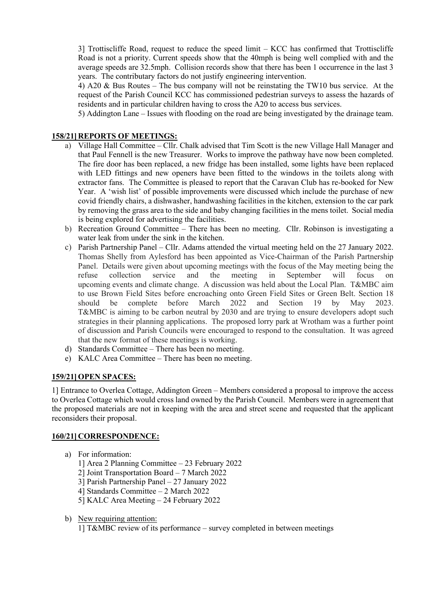3] Trottiscliffe Road, request to reduce the speed limit – KCC has confirmed that Trottiscliffe Road is not a priority. Current speeds show that the 40mph is being well complied with and the average speeds are 32.5mph. Collision records show that there has been 1 occurrence in the last 3 years. The contributary factors do not justify engineering intervention.

4) A20 & Bus Routes – The bus company will not be reinstating the TW10 bus service. At the request of the Parish Council KCC has commissioned pedestrian surveys to assess the hazards of residents and in particular children having to cross the A20 to access bus services.

5) Addington Lane – Issues with flooding on the road are being investigated by the drainage team.

# **158/21] REPORTS OF MEETINGS:**

- a) Village Hall Committee Cllr. Chalk advised that Tim Scott is the new Village Hall Manager and that Paul Fennell is the new Treasurer. Works to improve the pathway have now been completed. The fire door has been replaced, a new fridge has been installed, some lights have been replaced with LED fittings and new openers have been fitted to the windows in the toilets along with extractor fans. The Committee is pleased to report that the Caravan Club has re-booked for New Year. A 'wish list' of possible improvements were discussed which include the purchase of new covid friendly chairs, a dishwasher, handwashing facilities in the kitchen, extension to the car park by removing the grass area to the side and baby changing facilities in the mens toilet. Social media is being explored for advertising the facilities.
- b) Recreation Ground Committee There has been no meeting. Cllr. Robinson is investigating a water leak from under the sink in the kitchen.
- c) Parish Partnership Panel Cllr. Adams attended the virtual meeting held on the 27 January 2022. Thomas Shelly from Aylesford has been appointed as Vice-Chairman of the Parish Partnership Panel. Details were given about upcoming meetings with the focus of the May meeting being the refuse collection service and the meeting in September will focus on upcoming events and climate change. A discussion was held about the Local Plan. T&MBC aim to use Brown Field Sites before encroaching onto Green Field Sites or Green Belt. Section 18 should be complete before March 2022 and Section 19 by May 2023. T&MBC is aiming to be carbon neutral by 2030 and are trying to ensure developers adopt such strategies in their planning applications. The proposed lorry park at Wrotham was a further point of discussion and Parish Councils were encouraged to respond to the consultation. It was agreed that the new format of these meetings is working.
- d) Standards Committee There has been no meeting.
- e) KALC Area Committee There has been no meeting.

### **159/21] OPEN SPACES:**

1] Entrance to Overlea Cottage, Addington Green – Members considered a proposal to improve the access to Overlea Cottage which would cross land owned by the Parish Council. Members were in agreement that the proposed materials are not in keeping with the area and street scene and requested that the applicant reconsiders their proposal.

### **160/21] CORRESPONDENCE:**

- a) For information:
	- 1] Area 2 Planning Committee 23 February 2022
	- 2] Joint Transportation Board 7 March 2022
	- 3] Parish Partnership Panel 27 January 2022
	- 4] Standards Committee 2 March 2022
	- 5] KALC Area Meeting 24 February 2022
- b) New requiring attention:

1] T&MBC review of its performance – survey completed in between meetings